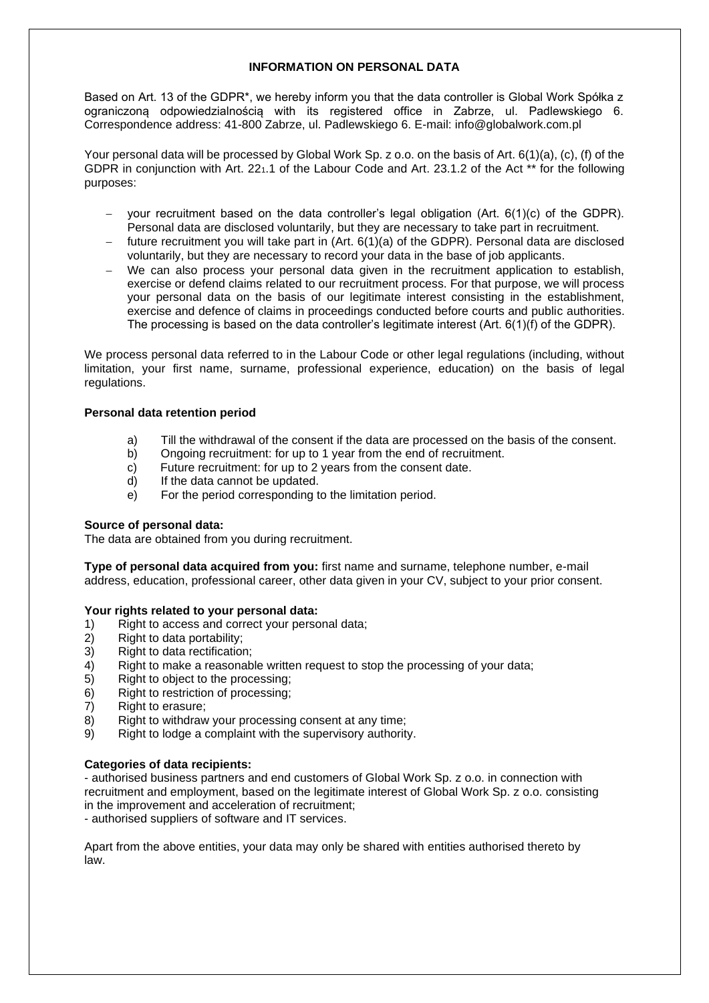# **INFORMATION ON PERSONAL DATA**

Based on Art. 13 of the GDPR\*, we hereby inform you that the data controller is Global Work Spółka z ograniczoną odpowiedzialnością with its registered office in Zabrze, ul. Padlewskiego 6. Correspondence address: 41-800 Zabrze, ul. Padlewskiego 6. E-mail: [info@globalwork.com.pl](mailto:info@globalwork.com.pl)

Your personal data will be processed by Global Work Sp. z o.o. on the basis of Art. 6(1)(a), (c), (f) of the GDPR in conjunction with Art. 22<sub>1</sub>.1 of the Labour Code and Art. 23.1.2 of the Act<sup>\*\*</sup> for the following purposes:

- your recruitment based on the data controller's legal obligation (Art. 6(1)(c) of the GDPR). Personal data are disclosed voluntarily, but they are necessary to take part in recruitment.
- − future recruitment you will take part in (Art. 6(1)(a) of the GDPR). Personal data are disclosed voluntarily, but they are necessary to record your data in the base of job applicants.
- − We can also process your personal data given in the recruitment application to establish, exercise or defend claims related to our recruitment process. For that purpose, we will process your personal data on the basis of our legitimate interest consisting in the establishment, exercise and defence of claims in proceedings conducted before courts and public authorities. The processing is based on the data controller's legitimate interest (Art. 6(1)(f) of the GDPR).

We process personal data referred to in the Labour Code or other legal regulations (including, without limitation, your first name, surname, professional experience, education) on the basis of legal regulations.

## **Personal data retention period**

- a) Till the withdrawal of the consent if the data are processed on the basis of the consent.
- b) Ongoing recruitment: for up to 1 year from the end of recruitment.
- c) Future recruitment: for up to 2 years from the consent date.
- d) If the data cannot be updated.
- e) For the period corresponding to the limitation period.

## **Source of personal data:**

The data are obtained from you during recruitment.

**Type of personal data acquired from you:** first name and surname, telephone number, e-mail address, education, professional career, other data given in your CV, subject to your prior consent.

## **Your rights related to your personal data:**

- 1) Right to access and correct your personal data;
- 2) Right to data portability;
- 3) Right to data rectification;
- 4) Right to make a reasonable written request to stop the processing of your data;
- 5) Right to object to the processing;
- 6) Right to restriction of processing;
- 7) Right to erasure;
- 8) Right to withdraw your processing consent at any time;
- 9) Right to lodge a complaint with the supervisory authority.

## **Categories of data recipients:**

- authorised business partners and end customers of Global Work Sp. z o.o. in connection with recruitment and employment, based on the legitimate interest of Global Work Sp. z o.o. consisting in the improvement and acceleration of recruitment;

- authorised suppliers of software and IT services.

Apart from the above entities, your data may only be shared with entities authorised thereto by law.